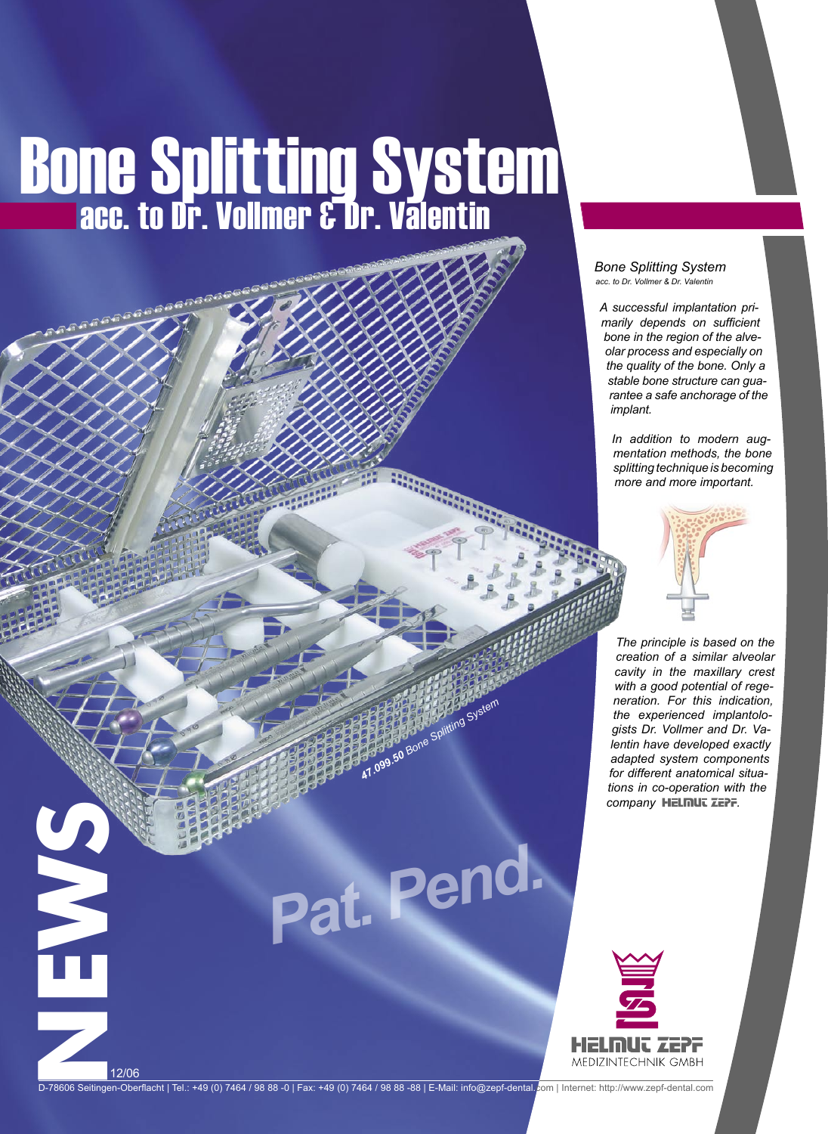# **Bone Splitting System**

## *Bone Splitting System acc. to Dr. Vollmer & Dr. Valentin*

*A successful implantation primarily depends on sufficient bone in the region of the alveolar process and especially on the quality of the bone. Only a stable bone structure can guarantee a safe anchorage of the implant.* 

*In addition to modern augmentation methods, the bone splitting technique is becoming more and more important.* 



*The principle is based on the creation of a similar alveolar cavity in the maxillary crest with a good potential of regeneration. For this indication, the experienced implantologists Dr. Vollmer and Dr. Valentin have developed exactly adapted system components for different anatomical situations in co-operation with the*  company **HELMUT ZEPF.** 



D-78606 Seitingen-Oberflacht | Tel.: +49 (0) 7464 / 98 88 -0 | Fax: +49 (0) 7464 / 98 88 -88 | E-Mail: info@zepf-dental.com | Internet: http://www.zepf-dental.com

*47.099.50 Bone Splitting System*

*Pat. Pend.*

12/06

**NEWS**